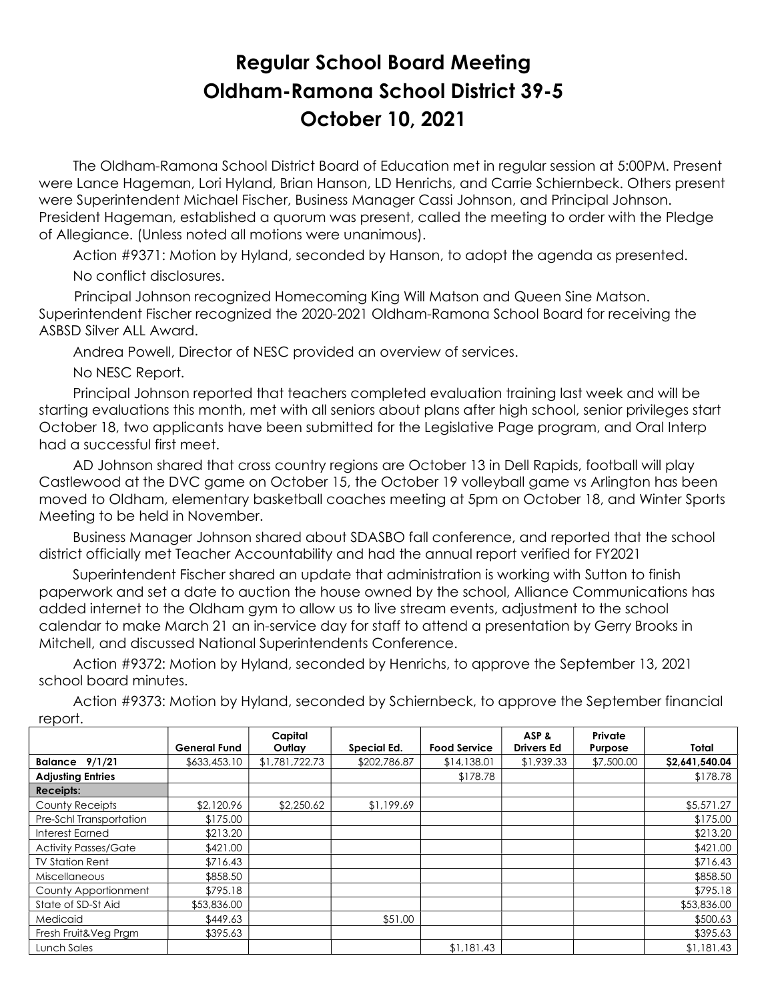## Regular School Board Meeting Oldham-Ramona School District 39-5 October 10, 2021

 The Oldham-Ramona School District Board of Education met in regular session at 5:00PM. Present were Lance Hageman, Lori Hyland, Brian Hanson, LD Henrichs, and Carrie Schiernbeck. Others present were Superintendent Michael Fischer, Business Manager Cassi Johnson, and Principal Johnson. President Hageman, established a quorum was present, called the meeting to order with the Pledge of Allegiance. (Unless noted all motions were unanimous).

 Action #9371: Motion by Hyland, seconded by Hanson, to adopt the agenda as presented. No conflict disclosures.

 Principal Johnson recognized Homecoming King Will Matson and Queen Sine Matson. Superintendent Fischer recognized the 2020-2021 Oldham-Ramona School Board for receiving the ASBSD Silver ALL Award.

Andrea Powell, Director of NESC provided an overview of services.

No NESC Report.

 Principal Johnson reported that teachers completed evaluation training last week and will be starting evaluations this month, met with all seniors about plans after high school, senior privileges start October 18, two applicants have been submitted for the Legislative Page program, and Oral Interp had a successful first meet.

 AD Johnson shared that cross country regions are October 13 in Dell Rapids, football will play Castlewood at the DVC game on October 15, the October 19 volleyball game vs Arlington has been moved to Oldham, elementary basketball coaches meeting at 5pm on October 18, and Winter Sports Meeting to be held in November.

 Business Manager Johnson shared about SDASBO fall conference, and reported that the school district officially met Teacher Accountability and had the annual report verified for FY2021

 Superintendent Fischer shared an update that administration is working with Sutton to finish paperwork and set a date to auction the house owned by the school, Alliance Communications has added internet to the Oldham gym to allow us to live stream events, adjustment to the school calendar to make March 21 an in-service day for staff to attend a presentation by Gerry Brooks in Mitchell, and discussed National Superintendents Conference.

 Action #9372: Motion by Hyland, seconded by Henrichs, to approve the September 13, 2021 school board minutes.

 Action #9373: Motion by Hyland, seconded by Schiernbeck, to approve the September financial report.

|                             | <b>General Fund</b> | Capital<br>Outlay | Special Ed.  | <b>Food Service</b> | ASP&<br><b>Drivers Ed</b> | Private<br>Purpose | Total          |
|-----------------------------|---------------------|-------------------|--------------|---------------------|---------------------------|--------------------|----------------|
| <b>Balance 9/1/21</b>       | \$633,453.10        | \$1,781,722.73    | \$202,786.87 | \$14,138.01         | \$1,939.33                | \$7,500.00         | \$2,641,540.04 |
| <b>Adjusting Entries</b>    |                     |                   |              | \$178.78            |                           |                    | \$178.78       |
| <b>Receipts:</b>            |                     |                   |              |                     |                           |                    |                |
| County Receipts             | \$2,120.96          | \$2,250.62        | \$1,199.69   |                     |                           |                    | \$5,571.27     |
| Pre-Schl Transportation     | \$175.00            |                   |              |                     |                           |                    | \$175.00       |
| Interest Earned             | \$213.20            |                   |              |                     |                           |                    | \$213.20       |
| <b>Activity Passes/Gate</b> | \$421.00            |                   |              |                     |                           |                    | \$421.00       |
| <b>TV Station Rent</b>      | \$716.43            |                   |              |                     |                           |                    | \$716.43       |
| Miscellaneous               | \$858.50            |                   |              |                     |                           |                    | \$858.50       |
| County Apportionment        | \$795.18            |                   |              |                     |                           |                    | \$795.18       |
| State of SD-St Aid          | \$53,836.00         |                   |              |                     |                           |                    | \$53,836.00    |
| Medicaid                    | \$449.63            |                   | \$51.00      |                     |                           |                    | \$500.63       |
| Fresh Fruit&Veg Prgm        | \$395.63            |                   |              |                     |                           |                    | \$395.63       |
| Lunch Sales                 |                     |                   |              | \$1,181.43          |                           |                    | \$1,181.43     |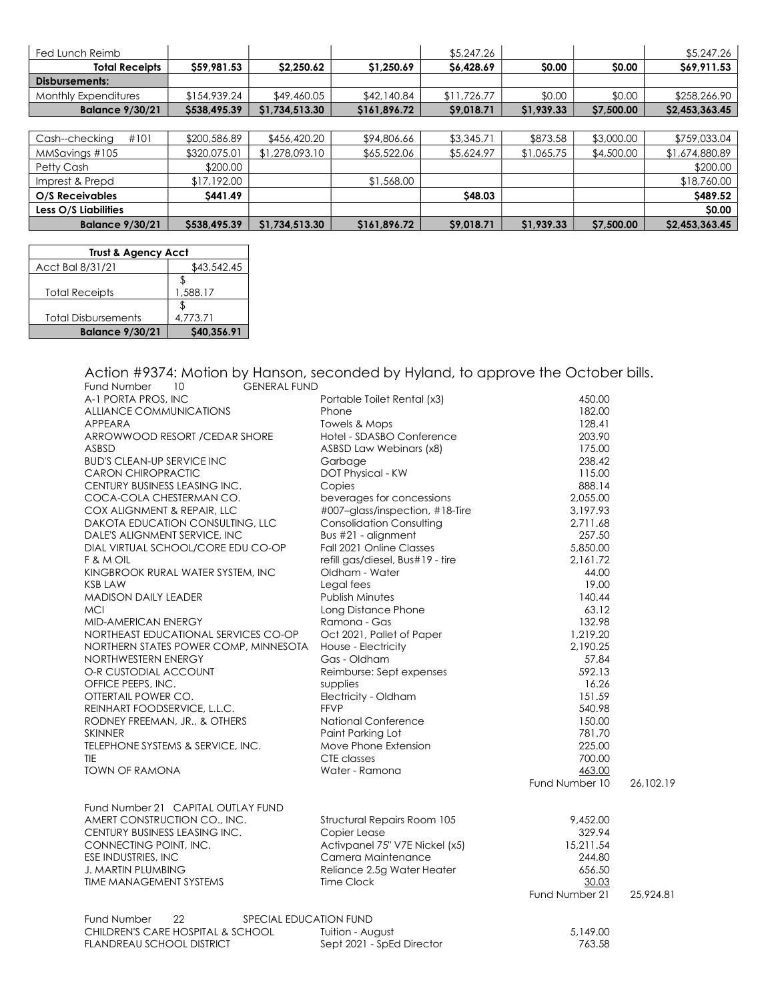| Fed Lunch Reimb             |              |                |              | \$5,247.26  |            |            | \$5,247.26     |
|-----------------------------|--------------|----------------|--------------|-------------|------------|------------|----------------|
| <b>Total Receipts</b>       | \$59,981.53  | \$2,250.62     | \$1,250.69   | \$6,428.69  | \$0.00     | \$0.00     | \$69,911.53    |
| Disbursements:              |              |                |              |             |            |            |                |
| <b>Monthly Expenditures</b> | \$154,939.24 | \$49,460.05    | \$42,140.84  | \$11,726.77 | \$0.00     | \$0.00     | \$258,266.90   |
| <b>Balance 9/30/21</b>      | \$538,495.39 | \$1,734,513.30 | \$161,896.72 | \$9,018.71  | \$1,939.33 | \$7,500.00 | \$2,453,363.45 |
|                             |              |                |              |             |            |            |                |
| #101<br>Cash--checking      | \$200,586.89 | \$456,420.20   | \$94,806.66  | \$3,345.71  | \$873.58   | \$3,000.00 | \$759,033.04   |
| MMSavings #105              | \$320,075.01 | \$1,278,093.10 | \$65,522.06  | \$5,624.97  | \$1,065.75 | \$4,500.00 | \$1,674,880.89 |
| Petty Cash                  | \$200.00     |                |              |             |            |            | \$200.00       |
| Imprest & Prepd             | \$17,192.00  |                | \$1,568.00   |             |            |            | \$18,760.00    |
| O/S Receivables             | \$441.49     |                |              | \$48.03     |            |            | \$489.52       |
| Less O/S Liabilities        |              |                |              |             |            |            | \$0.00         |
| <b>Balance 9/30/21</b>      | \$538,495.39 | \$1,734,513.30 | \$161,896.72 | \$9,018.71  | \$1,939.33 | \$7,500.00 | \$2,453,363.45 |

| <b>Trust &amp; Agency Acct</b> |             |  |
|--------------------------------|-------------|--|
| Acct Bal 8/31/21               | \$43,542.45 |  |
|                                |             |  |
| <b>Total Receipts</b>          | 1,588.17    |  |
|                                |             |  |
| <b>Total Disbursements</b>     | 4.773.71    |  |
| <b>Balance 9/30/21</b>         | \$40,356.91 |  |

Action #9374: Motion by Hanson, seconded by Hyland, to approve the October bills. Fund Number 10 GENERAL FUND

| .                                           |                                  |                |           |
|---------------------------------------------|----------------------------------|----------------|-----------|
| A-1 PORTA PROS, INC                         | Portable Toilet Rental (x3)      | 450.00         |           |
| ALLIANCE COMMUNICATIONS                     | Phone                            | 182.00         |           |
| APPEARA                                     | Towels & Mops                    | 128.41         |           |
| ARROWWOOD RESORT / CEDAR SHORE              | Hotel - SDASBO Conference        | 203.90         |           |
| ASBSD                                       | ASBSD Law Webinars (x8)          | 175.00         |           |
| <b>BUD'S CLEAN-UP SERVICE INC</b>           | Garbage                          | 238.42         |           |
| <b>CARON CHIROPRACTIC</b>                   | DOT Physical - KW                | 115.00         |           |
| CENTURY BUSINESS LEASING INC.               | Copies                           | 888.14         |           |
| COCA-COLA CHESTERMAN CO.                    | beverages for concessions        | 2,055.00       |           |
| COX ALIGNMENT & REPAIR, LLC                 | #007-glass/inspection, #18-Tire  | 3,197.93       |           |
| DAKOTA EDUCATION CONSULTING, LLC            | <b>Consolidation Consulting</b>  | 2,711.68       |           |
| DALE'S ALIGNMENT SERVICE, INC               | Bus #21 - alignment              | 257.50         |           |
| DIAL VIRTUAL SCHOOL/CORE EDU CO-OP          | Fall 2021 Online Classes         | 5,850.00       |           |
| F & M OIL                                   | refill gas/diesel, Bus#19 - tire | 2,161.72       |           |
| KINGBROOK RURAL WATER SYSTEM, INC           | Oldham - Water                   | 44.00          |           |
| <b>KSB LAW</b>                              | Legal fees                       | 19.00          |           |
| <b>MADISON DAILY LEADER</b>                 | <b>Publish Minutes</b>           | 140.44         |           |
| <b>MCI</b>                                  | Long Distance Phone              | 63.12          |           |
| MID-AMERICAN ENERGY                         | Ramona - Gas                     | 132.98         |           |
| NORTHEAST EDUCATIONAL SERVICES CO-OP        | Oct 2021, Pallet of Paper        | 1,219.20       |           |
| NORTHERN STATES POWER COMP, MINNESOTA       | House - Electricity              | 2,190.25       |           |
| NORTHWESTERN ENERGY                         | Gas - Oldham                     | 57.84          |           |
| O-R CUSTODIAL ACCOUNT                       |                                  | 592.13         |           |
|                                             | Reimburse: Sept expenses         | 16.26          |           |
| OFFICE PEEPS, INC.                          | supplies                         | 151.59         |           |
| OTTERTAIL POWER CO.                         | Electricity - Oldham             |                |           |
| REINHART FOODSERVICE, L.L.C.                | <b>FFVP</b>                      | 540.98         |           |
| RODNEY FREEMAN, JR., & OTHERS               | <b>National Conference</b>       | 150.00         |           |
| <b>SKINNER</b>                              | Paint Parking Lot                | 781.70         |           |
| TELEPHONE SYSTEMS & SERVICE, INC.           | Move Phone Extension             | 225.00         |           |
| <b>TIE</b>                                  | CTE classes                      | 700.00         |           |
| <b>TOWN OF RAMONA</b>                       | Water - Ramona                   | 463.00         |           |
|                                             |                                  | Fund Number 10 | 26,102.19 |
|                                             |                                  |                |           |
| Fund Number 21 CAPITAL OUTLAY FUND          |                                  |                |           |
| AMERT CONSTRUCTION CO., INC.                | Structural Repairs Room 105      | 9,452.00       |           |
| CENTURY BUSINESS LEASING INC.               | Copier Lease                     | 329.94         |           |
| CONNECTING POINT, INC.                      | Activpanel 75" V7E Nickel (x5)   | 15,211.54      |           |
| ESE INDUSTRIES, INC                         | Camera Maintenance               | 244.80         |           |
| J. MARTIN PLUMBING                          | Reliance 2.5g Water Heater       | 656.50         |           |
| TIME MANAGEMENT SYSTEMS                     | Time Clock                       | 30.03          |           |
|                                             |                                  | Fund Number 21 | 25,924.81 |
|                                             |                                  |                |           |
| Fund Number<br>22<br>SPECIAL EDUCATION FUND |                                  |                |           |
| CHILDREN'S CARE HOSPITAL & SCHOOL           | Tuition - August                 | 5,149.00       |           |
| FLANDREAU SCHOOL DISTRICT                   | Sept 2021 - SpEd Director        | 763.58         |           |
|                                             |                                  |                |           |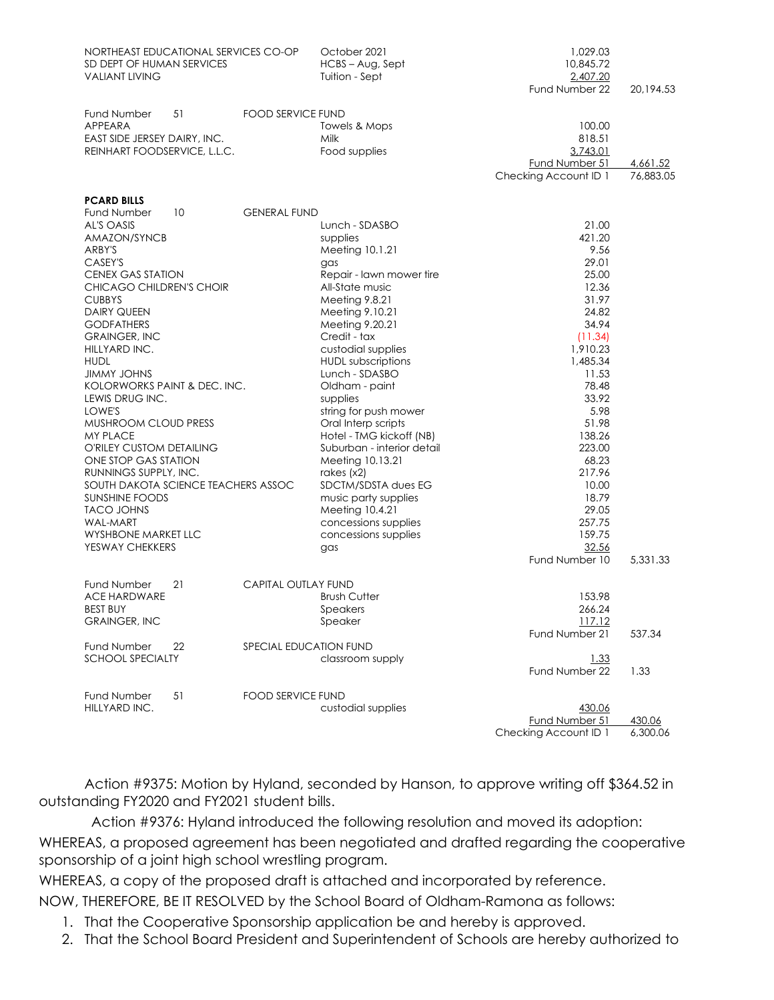| NORTHEAST EDUCATIONAL SERVICES CO-OP<br>SD DEPT OF HUMAN SERVICES<br><b>VALIANT LIVING</b>                                                                                                                                                                                                                                                                                                                                                                                                                                                                                                                              |                            | October 2021<br>HCBS - Aug, Sept<br>Tuition - Sept                                                                                                                                                                                                                                                                                                                                                                                                                                                                                             | 1,029.03<br>10,845.72<br>2,407.20<br>Fund Number 22                                                                                                                                                                                                | 20,194.53             |
|-------------------------------------------------------------------------------------------------------------------------------------------------------------------------------------------------------------------------------------------------------------------------------------------------------------------------------------------------------------------------------------------------------------------------------------------------------------------------------------------------------------------------------------------------------------------------------------------------------------------------|----------------------------|------------------------------------------------------------------------------------------------------------------------------------------------------------------------------------------------------------------------------------------------------------------------------------------------------------------------------------------------------------------------------------------------------------------------------------------------------------------------------------------------------------------------------------------------|----------------------------------------------------------------------------------------------------------------------------------------------------------------------------------------------------------------------------------------------------|-----------------------|
| Fund Number<br>51<br><b>APPEARA</b><br>EAST SIDE JERSEY DAIRY, INC.<br>REINHART FOODSERVICE, L.L.C.                                                                                                                                                                                                                                                                                                                                                                                                                                                                                                                     | <b>FOOD SERVICE FUND</b>   | Towels & Mops<br>Milk<br>Food supplies                                                                                                                                                                                                                                                                                                                                                                                                                                                                                                         | 100.00<br>818.51<br>3,743.01<br>Fund Number 51<br>Checking Account ID 1                                                                                                                                                                            | 4,661.52<br>76,883.05 |
| <b>PCARD BILLS</b><br><b>Fund Number</b><br>10<br>AL'S OASIS<br>AMAZON/SYNCB<br>ARBY'S<br>CASEY'S<br><b>CENEX GAS STATION</b><br>CHICAGO CHILDREN'S CHOIR<br><b>CUBBYS</b><br><b>DAIRY QUEEN</b><br><b>GODFATHERS</b><br><b>GRAINGER, INC</b><br>HILLYARD INC.<br><b>HUDL</b><br><b>JIMMY JOHNS</b><br>KOLORWORKS PAINT & DEC. INC.<br>LEWIS DRUG INC.<br>LOWE'S<br>MUSHROOM CLOUD PRESS<br><b>MY PLACE</b><br>O'RILEY CUSTOM DETAILING<br>ONE STOP GAS STATION<br>RUNNINGS SUPPLY, INC.<br>SOUTH DAKOTA SCIENCE TEACHERS ASSOC<br><b>SUNSHINE FOODS</b><br><b>TACO JOHNS</b><br>WAL-MART<br><b>WYSHBONE MARKET LLC</b> | <b>GENERAL FUND</b>        | Lunch - SDASBO<br>supplies<br>Meeting 10.1.21<br>gas<br>Repair - lawn mower tire<br>All-State music<br>Meeting 9.8.21<br>Meeting 9.10.21<br>Meeting 9.20.21<br>Credit - tax<br>custodial supplies<br><b>HUDL</b> subscriptions<br>Lunch - SDASBO<br>Oldham - paint<br>supplies<br>string for push mower<br>Oral Interp scripts<br>Hotel - TMG kickoff (NB)<br>Suburban - interior detail<br>Meeting 10.13.21<br>rakes $(x2)$<br>SDCTM/SDSTA dues EG<br>music party supplies<br>Meeting 10.4.21<br>concessions supplies<br>concessions supplies | 21.00<br>421.20<br>9.56<br>29.01<br>25.00<br>12.36<br>31.97<br>24.82<br>34.94<br>(11.34)<br>1,910.23<br>1,485.34<br>11.53<br>78.48<br>33.92<br>5.98<br>51.98<br>138.26<br>223.00<br>68.23<br>217.96<br>10.00<br>18.79<br>29.05<br>257.75<br>159.75 |                       |
| YESWAY CHEKKERS                                                                                                                                                                                                                                                                                                                                                                                                                                                                                                                                                                                                         |                            | gas                                                                                                                                                                                                                                                                                                                                                                                                                                                                                                                                            | 32.56<br>Fund Number 10                                                                                                                                                                                                                            | 5,331.33              |
| Fund Number<br>21<br><b>ACE HARDWARE</b><br><b>BEST BUY</b><br><b>GRAINGER, INC</b>                                                                                                                                                                                                                                                                                                                                                                                                                                                                                                                                     | <b>CAPITAL OUTLAY FUND</b> | <b>Brush Cutter</b><br>Speakers<br>Speaker                                                                                                                                                                                                                                                                                                                                                                                                                                                                                                     | 153.98<br>266.24<br><u> 117.12</u>                                                                                                                                                                                                                 |                       |
| Fund Number<br>22<br><b>SCHOOL SPECIALTY</b>                                                                                                                                                                                                                                                                                                                                                                                                                                                                                                                                                                            | SPECIAL EDUCATION FUND     | classroom supply                                                                                                                                                                                                                                                                                                                                                                                                                                                                                                                               | Fund Number 21<br>1.33<br>Fund Number 22                                                                                                                                                                                                           | 537.34<br>1.33        |
| Fund Number<br>51<br>HILLYARD INC.                                                                                                                                                                                                                                                                                                                                                                                                                                                                                                                                                                                      | <b>FOOD SERVICE FUND</b>   | custodial supplies                                                                                                                                                                                                                                                                                                                                                                                                                                                                                                                             | 430.06<br>Fund Number 51<br>Checking Account ID 1                                                                                                                                                                                                  | 430.06<br>6,300.06    |

Action #9375: Motion by Hyland, seconded by Hanson, to approve writing off \$364.52 in outstanding FY2020 and FY2021 student bills.

Action #9376: Hyland introduced the following resolution and moved its adoption:

WHEREAS, a proposed agreement has been negotiated and drafted regarding the cooperative sponsorship of a joint high school wrestling program.

WHEREAS, a copy of the proposed draft is attached and incorporated by reference.

NOW, THEREFORE, BE IT RESOLVED by the School Board of Oldham-Ramona as follows:

- 1. That the Cooperative Sponsorship application be and hereby is approved.
- 2. That the School Board President and Superintendent of Schools are hereby authorized to